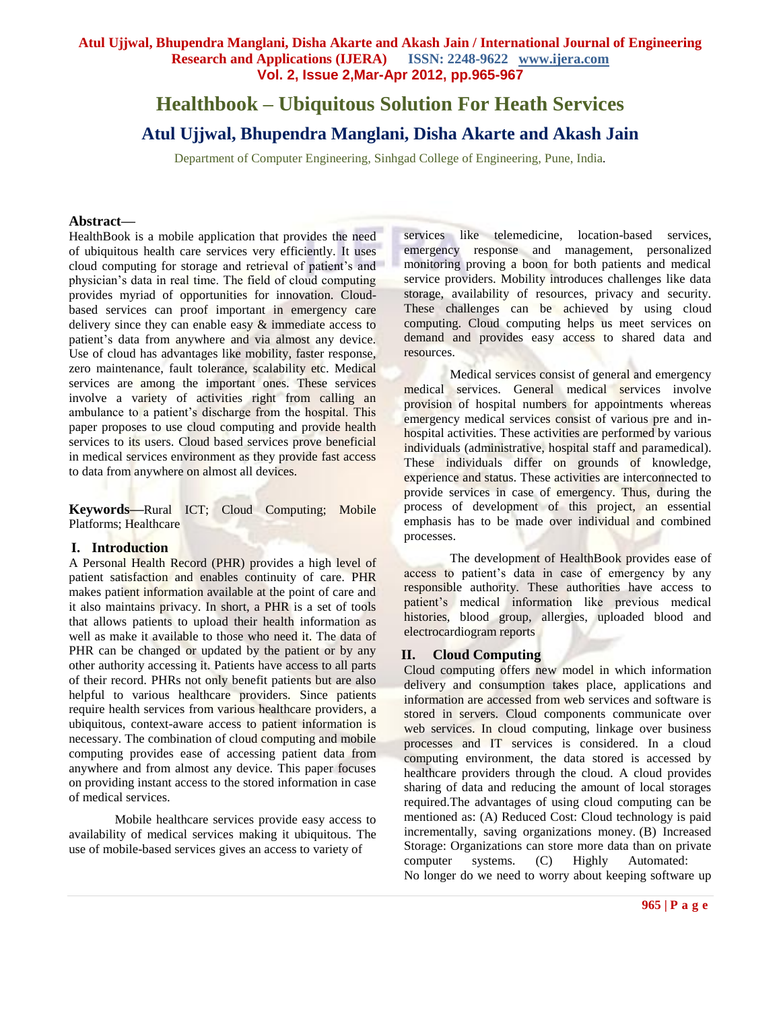# **Atul Ujjwal, Bhupendra Manglani, Disha Akarte and Akash Jain / International Journal of Engineering Research and Applications (IJERA) ISSN: 2248-9622 www.ijera.com Vol. 2, Issue 2,Mar-Apr 2012, pp.965-967**

# **Healthbook – Ubiquitous Solution For Heath Services Atul Ujjwal, Bhupendra Manglani, Disha Akarte and Akash Jain**

Department of Computer Engineering, Sinhgad College of Engineering, Pune, India*.*

#### **Abstract—**

HealthBook is a mobile application that provides the need of ubiquitous health care services very efficiently. It uses cloud computing for storage and retrieval of patient's and physician's data in real time. The field of cloud computing provides myriad of opportunities for innovation. Cloudbased services can proof important in emergency care delivery since they can enable easy  $\&$  immediate access to patient's data from anywhere and via almost any device. Use of cloud has advantages like mobility, faster response, zero maintenance, fault tolerance, scalability etc. Medical services are among the important ones. These services involve a variety of activities right from calling an ambulance to a patient's discharge from the hospital. This paper proposes to use cloud computing and provide health services to its users. Cloud based services prove beneficial in medical services environment as they provide fast access to data from anywhere on almost all devices.

**Keywords—**Rural ICT; Cloud Computing; Mobile Platforms; Healthcare

## **I. Introduction**

A Personal Health Record (PHR) provides a high level of patient satisfaction and enables continuity of care. PHR makes patient information available at the point of care and it also maintains privacy. In short, a PHR is a set of tools that allows patients to upload their health information as well as make it available to those who need it. The data of PHR can be changed or updated by the patient or by any other authority accessing it. Patients have access to all parts of their record. PHRs not only benefit patients but are also helpful to various healthcare providers. Since patients require health services from various healthcare providers, a ubiquitous, context-aware access to patient information is necessary. The combination of cloud computing and mobile computing provides ease of accessing patient data from anywhere and from almost any device. This paper focuses on providing instant access to the stored information in case of medical services.

Mobile healthcare services provide easy access to availability of medical services making it ubiquitous. The use of mobile-based services gives an access to variety of

services like telemedicine, location-based services, emergency response and management, personalized monitoring proving a boon for both patients and medical service providers. Mobility introduces challenges like data storage, availability of resources, privacy and security. These challenges can be achieved by using cloud computing. Cloud computing helps us meet services on demand and provides easy access to shared data and resources.

Medical services consist of general and emergency medical services. General medical services involve provision of hospital numbers for appointments whereas emergency medical services consist of various pre and inhospital activities. These activities are performed by various individuals (administrative, hospital staff and paramedical). These individuals differ on grounds of knowledge, experience and status. These activities are interconnected to provide services in case of emergency. Thus, during the process of development of this project, an essential emphasis has to be made over individual and combined processes.

The development of HealthBook provides ease of access to patient's data in case of emergency by any responsible authority. These authorities have access to patient's medical information like previous medical histories, blood group, allergies, uploaded blood and electrocardiogram reports

## **II. Cloud Computing**

Cloud computing offers new model in which information delivery and consumption takes place, applications and information are accessed from web services and software is stored in servers. Cloud components communicate over web services. In cloud computing, linkage over business processes and IT services is considered. In a cloud computing environment, the data stored is accessed by healthcare providers through the cloud. A cloud provides sharing of data and reducing the amount of local storages required.The advantages of using cloud computing can be mentioned as: (A) Reduced Cost: Cloud technology is paid incrementally, saving organizations money. (B) Increased Storage: Organizations can store more data than on private computer systems. (C) Highly Automated: No longer do we need to worry about keeping software up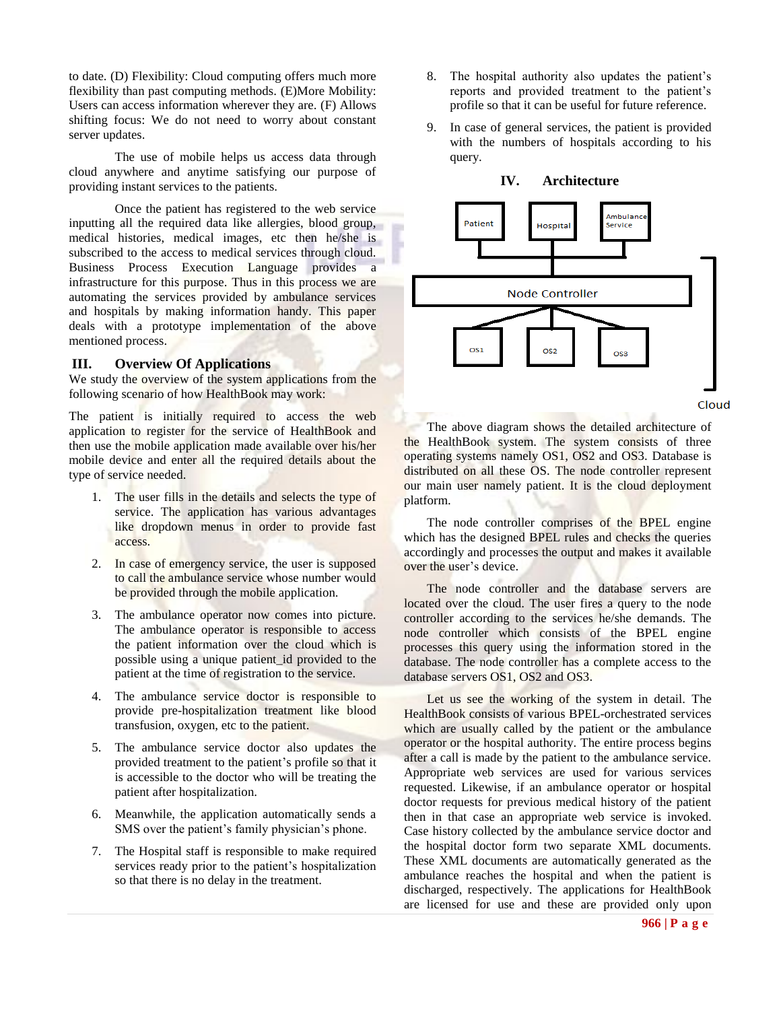to date. (D) Flexibility: Cloud computing offers much more flexibility than past computing methods. (E)More Mobility: Users can access information wherever they are. (F) Allows shifting focus: We do not need to worry about constant server updates.

The use of mobile helps us access data through cloud anywhere and anytime satisfying our purpose of providing instant services to the patients.

Once the patient has registered to the web service inputting all the required data like allergies, blood group, medical histories, medical images, etc then he/she is subscribed to the access to medical services through cloud. Business Process Execution Language provides a infrastructure for this purpose. Thus in this process we are automating the services provided by ambulance services and hospitals by making information handy. This paper deals with a prototype implementation of the above mentioned process.

# **III. Overview Of Applications**

We study the overview of the system applications from the following scenario of how HealthBook may work:

The patient is initially required to access the web application to register for the service of HealthBook and then use the mobile application made available over his/her mobile device and enter all the required details about the type of service needed.

- 1. The user fills in the details and selects the type of service. The application has various advantages like dropdown menus in order to provide fast access.
- 2. In case of emergency service, the user is supposed to call the ambulance service whose number would be provided through the mobile application.
- 3. The ambulance operator now comes into picture. The ambulance operator is responsible to access the patient information over the cloud which is possible using a unique patient\_id provided to the patient at the time of registration to the service.
- 4. The ambulance service doctor is responsible to provide pre-hospitalization treatment like blood transfusion, oxygen, etc to the patient.
- 5. The ambulance service doctor also updates the provided treatment to the patient's profile so that it is accessible to the doctor who will be treating the patient after hospitalization.
- 6. Meanwhile, the application automatically sends a SMS over the patient's family physician's phone.
- 7. The Hospital staff is responsible to make required services ready prior to the patient's hospitalization so that there is no delay in the treatment.
- 8. The hospital authority also updates the patient's reports and provided treatment to the patient's profile so that it can be useful for future reference.
- 9. In case of general services, the patient is provided with the numbers of hospitals according to his query.



The above diagram shows the detailed architecture of the HealthBook system. The system consists of three operating systems namely OS1, OS2 and OS3. Database is distributed on all these OS. The node controller represent our main user namely patient. It is the cloud deployment platform.

The node controller comprises of the BPEL engine which has the designed BPEL rules and checks the queries accordingly and processes the output and makes it available over the user's device.

The node controller and the database servers are located over the cloud. The user fires a query to the node controller according to the services he/she demands. The node controller which consists of the BPEL engine processes this query using the information stored in the database. The node controller has a complete access to the database servers OS1, OS2 and OS3.

Let us see the working of the system in detail. The HealthBook consists of various BPEL-orchestrated services which are usually called by the patient or the ambulance operator or the hospital authority. The entire process begins after a call is made by the patient to the ambulance service. Appropriate web services are used for various services requested. Likewise, if an ambulance operator or hospital doctor requests for previous medical history of the patient then in that case an appropriate web service is invoked. Case history collected by the ambulance service doctor and the hospital doctor form two separate XML documents. These XML documents are automatically generated as the ambulance reaches the hospital and when the patient is discharged, respectively. The applications for HealthBook are licensed for use and these are provided only upon